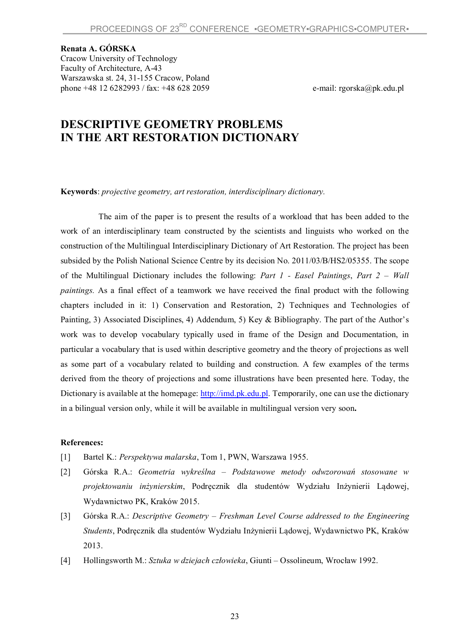## **Renata A. GÓRSKA**

Cracow University of Technology Faculty of Architecture, A-43 Warszawska st. 24, 31-155 Cracow, Poland phone +48 12 6282993 / fax: +48 628 2059 e-mail: rgorska@pk.edu.pl

## **DESCRIPTIVE GEOMETRY PROBLEMS IN THE ART RESTORATION DICTIONARY**

**Keywords**: *projective geometry, art restoration, interdisciplinary dictionary.*

The aim of the paper is to present the results of a workload that has been added to the work of an interdisciplinary team constructed by the scientists and linguists who worked on the construction of the Multilingual Interdisciplinary Dictionary of Art Restoration. The project has been subsided by the Polish National Science Centre by its decision No. 2011/03/B/HS2/05355. The scope of the Multilingual Dictionary includes the following: *Part 1 - Easel Paintings*, *Part 2 – Wall paintings.* As a final effect of a teamwork we have received the final product with the following chapters included in it: 1) Conservation and Restoration, 2) Techniques and Technologies of Painting, 3) Associated Disciplines, 4) Addendum, 5) Key & Bibliography. The part of the Author's work was to develop vocabulary typically used in frame of the Design and Documentation, in particular a vocabulary that is used within descriptive geometry and the theory of projections as well as some part of a vocabulary related to building and construction. A few examples of the terms derived from the theory of projections and some illustrations have been presented here. Today, the Dictionary is available at the homepage: http://imd.pk.edu.pl. Temporarily, one can use the dictionary in a bilingual version only, while it will be available in multilingual version very soon**.**

## **References:**

- [1] Bartel K.: *Perspektywa malarska*, Tom 1, PWN, Warszawa 1955.
- [2] Górska R.A.: *Geometria wykreślna – Podstawowe metody odwzorowań stosowane w projektowaniu inżynierskim*, Podręcznik dla studentów Wydziału Inżynierii Lądowej, Wydawnictwo PK, Kraków 2015.
- [3] Górska R.A.: *Descriptive Geometry – Freshman Level Course addressed to the Engineering Students*, Podręcznik dla studentów Wydziału Inżynierii Lądowej, Wydawnictwo PK, Kraków 2013.
- [4] Hollingsworth M.: *Sztuka w dziejach człowieka*, Giunti Ossolineum, Wrocław 1992.